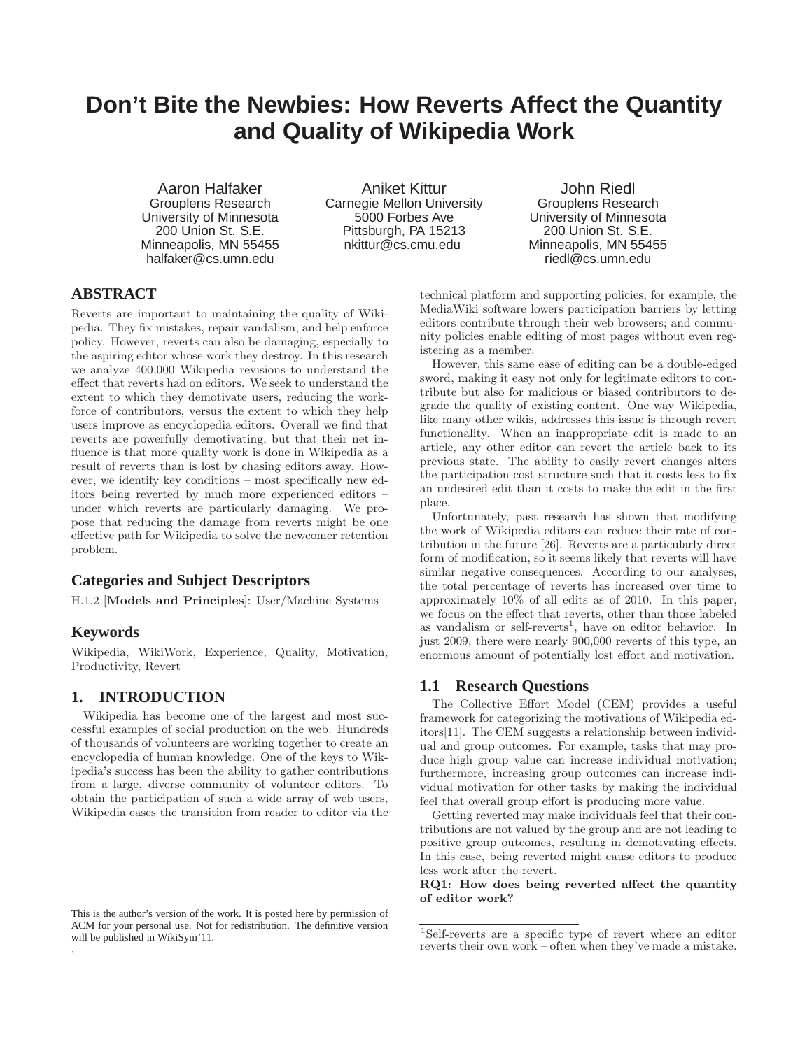# **Don't Bite the Newbies: How Reverts Affect the Quantity and Quality of Wikipedia Work**

Aaron Halfaker Grouplens Research University of Minnesota 200 Union St. S.E. Minneapolis, MN 55455 halfaker@cs.umn.edu

Aniket Kittur Carnegie Mellon University 5000 Forbes Ave Pittsburgh, PA 15213 nkittur@cs.cmu.edu

John Riedl Grouplens Research University of Minnesota 200 Union St. S.E. Minneapolis, MN 55455 riedl@cs.umn.edu

# **ABSTRACT**

Reverts are important to maintaining the quality of Wikipedia. They fix mistakes, repair vandalism, and help enforce policy. However, reverts can also be damaging, especially to the aspiring editor whose work they destroy. In this research we analyze 400,000 Wikipedia revisions to understand the effect that reverts had on editors. We seek to understand the extent to which they demotivate users, reducing the workforce of contributors, versus the extent to which they help users improve as encyclopedia editors. Overall we find that reverts are powerfully demotivating, but that their net influence is that more quality work is done in Wikipedia as a result of reverts than is lost by chasing editors away. However, we identify key conditions – most specifically new editors being reverted by much more experienced editors – under which reverts are particularly damaging. We propose that reducing the damage from reverts might be one effective path for Wikipedia to solve the newcomer retention problem.

## **Categories and Subject Descriptors**

H.1.2 [Models and Principles]: User/Machine Systems

## **Keywords**

.

Wikipedia, WikiWork, Experience, Quality, Motivation, Productivity, Revert

## **1. INTRODUCTION**

Wikipedia has become one of the largest and most successful examples of social production on the web. Hundreds of thousands of volunteers are working together to create an encyclopedia of human knowledge. One of the keys to Wikipedia's success has been the ability to gather contributions from a large, diverse community of volunteer editors. To obtain the participation of such a wide array of web users, Wikipedia eases the transition from reader to editor via the technical platform and supporting policies; for example, the MediaWiki software lowers participation barriers by letting editors contribute through their web browsers; and community policies enable editing of most pages without even registering as a member.

However, this same ease of editing can be a double-edged sword, making it easy not only for legitimate editors to contribute but also for malicious or biased contributors to degrade the quality of existing content. One way Wikipedia, like many other wikis, addresses this issue is through revert functionality. When an inappropriate edit is made to an article, any other editor can revert the article back to its previous state. The ability to easily revert changes alters the participation cost structure such that it costs less to fix an undesired edit than it costs to make the edit in the first place.

Unfortunately, past research has shown that modifying the work of Wikipedia editors can reduce their rate of contribution in the future [26]. Reverts are a particularly direct form of modification, so it seems likely that reverts will have similar negative consequences. According to our analyses, the total percentage of reverts has increased over time to approximately 10% of all edits as of 2010. In this paper, we focus on the effect that reverts, other than those labeled as vandalism or self-reverts<sup>1</sup>, have on editor behavior. In just 2009, there were nearly 900,000 reverts of this type, an enormous amount of potentially lost effort and motivation.

## **1.1 Research Questions**

The Collective Effort Model (CEM) provides a useful framework for categorizing the motivations of Wikipedia editors[11]. The CEM suggests a relationship between individual and group outcomes. For example, tasks that may produce high group value can increase individual motivation; furthermore, increasing group outcomes can increase individual motivation for other tasks by making the individual feel that overall group effort is producing more value.

Getting reverted may make individuals feel that their contributions are not valued by the group and are not leading to positive group outcomes, resulting in demotivating effects. In this case, being reverted might cause editors to produce less work after the revert.

RQ1: How does being reverted affect the quantity of editor work?

This is the author's version of the work. It is posted here by permission of ACM for your personal use. Not for redistribution. The definitive version will be published in WikiSym'11.

<sup>1</sup> Self-reverts are a specific type of revert where an editor reverts their own work – often when they've made a mistake.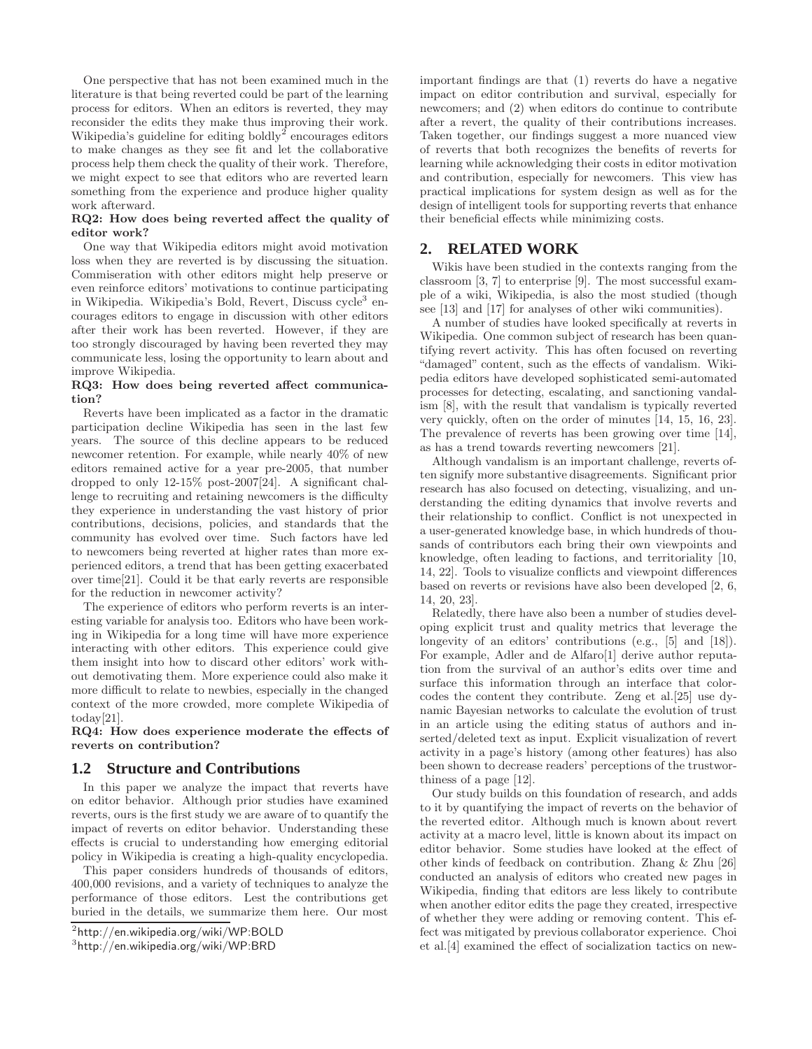One perspective that has not been examined much in the literature is that being reverted could be part of the learning process for editors. When an editors is reverted, they may reconsider the edits they make thus improving their work. Wikipedia's guideline for editing boldly<sup>2</sup> encourages editors to make changes as they see fit and let the collaborative process help them check the quality of their work. Therefore, we might expect to see that editors who are reverted learn something from the experience and produce higher quality work afterward.

#### RQ2: How does being reverted affect the quality of editor work?

One way that Wikipedia editors might avoid motivation loss when they are reverted is by discussing the situation. Commiseration with other editors might help preserve or even reinforce editors' motivations to continue participating in Wikipedia. Wikipedia's Bold, Revert, Discuss cycle<sup>3</sup> encourages editors to engage in discussion with other editors after their work has been reverted. However, if they are too strongly discouraged by having been reverted they may communicate less, losing the opportunity to learn about and improve Wikipedia.

#### RQ3: How does being reverted affect communication?

Reverts have been implicated as a factor in the dramatic participation decline Wikipedia has seen in the last few years. The source of this decline appears to be reduced newcomer retention. For example, while nearly 40% of new editors remained active for a year pre-2005, that number dropped to only 12-15% post-2007[24]. A significant challenge to recruiting and retaining newcomers is the difficulty they experience in understanding the vast history of prior contributions, decisions, policies, and standards that the community has evolved over time. Such factors have led to newcomers being reverted at higher rates than more experienced editors, a trend that has been getting exacerbated over time[21]. Could it be that early reverts are responsible for the reduction in newcomer activity?

The experience of editors who perform reverts is an interesting variable for analysis too. Editors who have been working in Wikipedia for a long time will have more experience interacting with other editors. This experience could give them insight into how to discard other editors' work without demotivating them. More experience could also make it more difficult to relate to newbies, especially in the changed context of the more crowded, more complete Wikipedia of today[21].

RQ4: How does experience moderate the effects of reverts on contribution?

## **1.2 Structure and Contributions**

In this paper we analyze the impact that reverts have on editor behavior. Although prior studies have examined reverts, ours is the first study we are aware of to quantify the impact of reverts on editor behavior. Understanding these effects is crucial to understanding how emerging editorial policy in Wikipedia is creating a high-quality encyclopedia.

This paper considers hundreds of thousands of editors, 400,000 revisions, and a variety of techniques to analyze the performance of those editors. Lest the contributions get buried in the details, we summarize them here. Our most important findings are that (1) reverts do have a negative impact on editor contribution and survival, especially for newcomers; and (2) when editors do continue to contribute after a revert, the quality of their contributions increases. Taken together, our findings suggest a more nuanced view of reverts that both recognizes the benefits of reverts for learning while acknowledging their costs in editor motivation and contribution, especially for newcomers. This view has practical implications for system design as well as for the design of intelligent tools for supporting reverts that enhance their beneficial effects while minimizing costs.

# **2. RELATED WORK**

Wikis have been studied in the contexts ranging from the classroom [3, 7] to enterprise [9]. The most successful example of a wiki, Wikipedia, is also the most studied (though see [13] and [17] for analyses of other wiki communities).

A number of studies have looked specifically at reverts in Wikipedia. One common subject of research has been quantifying revert activity. This has often focused on reverting "damaged" content, such as the effects of vandalism. Wikipedia editors have developed sophisticated semi-automated processes for detecting, escalating, and sanctioning vandalism [8], with the result that vandalism is typically reverted very quickly, often on the order of minutes [14, 15, 16, 23]. The prevalence of reverts has been growing over time [14], as has a trend towards reverting newcomers [21].

Although vandalism is an important challenge, reverts often signify more substantive disagreements. Significant prior research has also focused on detecting, visualizing, and understanding the editing dynamics that involve reverts and their relationship to conflict. Conflict is not unexpected in a user-generated knowledge base, in which hundreds of thousands of contributors each bring their own viewpoints and knowledge, often leading to factions, and territoriality [10, 14, 22]. Tools to visualize conflicts and viewpoint differences based on reverts or revisions have also been developed [2, 6, 14, 20, 23].

Relatedly, there have also been a number of studies developing explicit trust and quality metrics that leverage the longevity of an editors' contributions (e.g., [5] and [18]). For example, Adler and de Alfaro[1] derive author reputation from the survival of an author's edits over time and surface this information through an interface that colorcodes the content they contribute. Zeng et al.[25] use dynamic Bayesian networks to calculate the evolution of trust in an article using the editing status of authors and inserted/deleted text as input. Explicit visualization of revert activity in a page's history (among other features) has also been shown to decrease readers' perceptions of the trustworthiness of a page [12].

Our study builds on this foundation of research, and adds to it by quantifying the impact of reverts on the behavior of the reverted editor. Although much is known about revert activity at a macro level, little is known about its impact on editor behavior. Some studies have looked at the effect of other kinds of feedback on contribution. Zhang & Zhu [26] conducted an analysis of editors who created new pages in Wikipedia, finding that editors are less likely to contribute when another editor edits the page they created, irrespective of whether they were adding or removing content. This effect was mitigated by previous collaborator experience. Choi et al.[4] examined the effect of socialization tactics on new-

 $^{2}$ http://en.wikipedia.org/wiki/WP:BOLD

 $3$ http://en.wikipedia.org/wiki/WP:BRD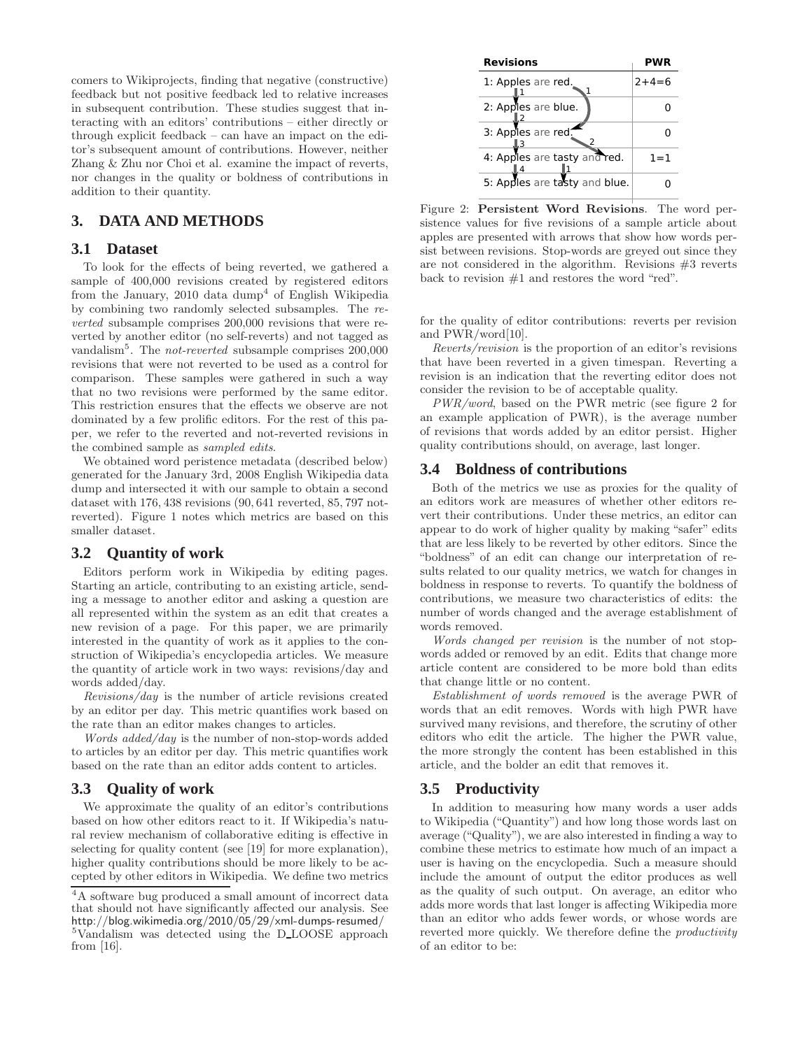comers to Wikiprojects, finding that negative (constructive) feedback but not positive feedback led to relative increases in subsequent contribution. These studies suggest that interacting with an editors' contributions – either directly or through explicit feedback – can have an impact on the editor's subsequent amount of contributions. However, neither Zhang & Zhu nor Choi et al. examine the impact of reverts, nor changes in the quality or boldness of contributions in addition to their quantity.

# **3. DATA AND METHODS**

## **3.1 Dataset**

To look for the effects of being reverted, we gathered a sample of 400,000 revisions created by registered editors from the January, 2010 data dump<sup>4</sup> of English Wikipedia by combining two randomly selected subsamples. The reverted subsample comprises 200,000 revisions that were reverted by another editor (no self-reverts) and not tagged as vandalism<sup>5</sup>. The not-reverted subsample comprises 200,000 revisions that were not reverted to be used as a control for comparison. These samples were gathered in such a way that no two revisions were performed by the same editor. This restriction ensures that the effects we observe are not dominated by a few prolific editors. For the rest of this paper, we refer to the reverted and not-reverted revisions in the combined sample as *sampled edits*.

We obtained word peristence metadata (described below) generated for the January 3rd, 2008 English Wikipedia data dump and intersected it with our sample to obtain a second dataset with 176, 438 revisions (90, 641 reverted, 85, 797 notreverted). Figure 1 notes which metrics are based on this smaller dataset.

## **3.2 Quantity of work**

Editors perform work in Wikipedia by editing pages. Starting an article, contributing to an existing article, sending a message to another editor and asking a question are all represented within the system as an edit that creates a new revision of a page. For this paper, we are primarily interested in the quantity of work as it applies to the construction of Wikipedia's encyclopedia articles. We measure the quantity of article work in two ways: revisions/day and words added/day.

Revisions/day is the number of article revisions created by an editor per day. This metric quantifies work based on the rate than an editor makes changes to articles.

Words added/day is the number of non-stop-words added to articles by an editor per day. This metric quantifies work based on the rate than an editor adds content to articles.

## **3.3 Quality of work**

We approximate the quality of an editor's contributions based on how other editors react to it. If Wikipedia's natural review mechanism of collaborative editing is effective in selecting for quality content (see [19] for more explanation), higher quality contributions should be more likely to be accepted by other editors in Wikipedia. We define two metrics



Figure 2: Persistent Word Revisions. The word persistence values for five revisions of a sample article about apples are presented with arrows that show how words persist between revisions. Stop-words are greyed out since they are not considered in the algorithm. Revisions #3 reverts back to revision #1 and restores the word "red".

for the quality of editor contributions: reverts per revision and PWR/word[10].

Reverts/revision is the proportion of an editor's revisions that have been reverted in a given timespan. Reverting a revision is an indication that the reverting editor does not consider the revision to be of acceptable quality.

PWR/word, based on the PWR metric (see figure 2 for an example application of PWR), is the average number of revisions that words added by an editor persist. Higher quality contributions should, on average, last longer.

## **3.4 Boldness of contributions**

Both of the metrics we use as proxies for the quality of an editors work are measures of whether other editors revert their contributions. Under these metrics, an editor can appear to do work of higher quality by making "safer" edits that are less likely to be reverted by other editors. Since the "boldness" of an edit can change our interpretation of results related to our quality metrics, we watch for changes in boldness in response to reverts. To quantify the boldness of contributions, we measure two characteristics of edits: the number of words changed and the average establishment of words removed.

Words changed per revision is the number of not stopwords added or removed by an edit. Edits that change more article content are considered to be more bold than edits that change little or no content.

Establishment of words removed is the average PWR of words that an edit removes. Words with high PWR have survived many revisions, and therefore, the scrutiny of other editors who edit the article. The higher the PWR value, the more strongly the content has been established in this article, and the bolder an edit that removes it.

#### **3.5 Productivity**

In addition to measuring how many words a user adds to Wikipedia ("Quantity") and how long those words last on average ("Quality"), we are also interested in finding a way to combine these metrics to estimate how much of an impact a user is having on the encyclopedia. Such a measure should include the amount of output the editor produces as well as the quality of such output. On average, an editor who adds more words that last longer is affecting Wikipedia more than an editor who adds fewer words, or whose words are reverted more quickly. We therefore define the productivity of an editor to be:

<sup>4</sup>A software bug produced a small amount of incorrect data that should not have significantly affected our analysis. See http://blog.wikimedia.org/2010/05/29/xml-dumps-resumed/ <sup>5</sup>Vandalism was detected using the D<sub>-LOOSE</sub> approach from [16].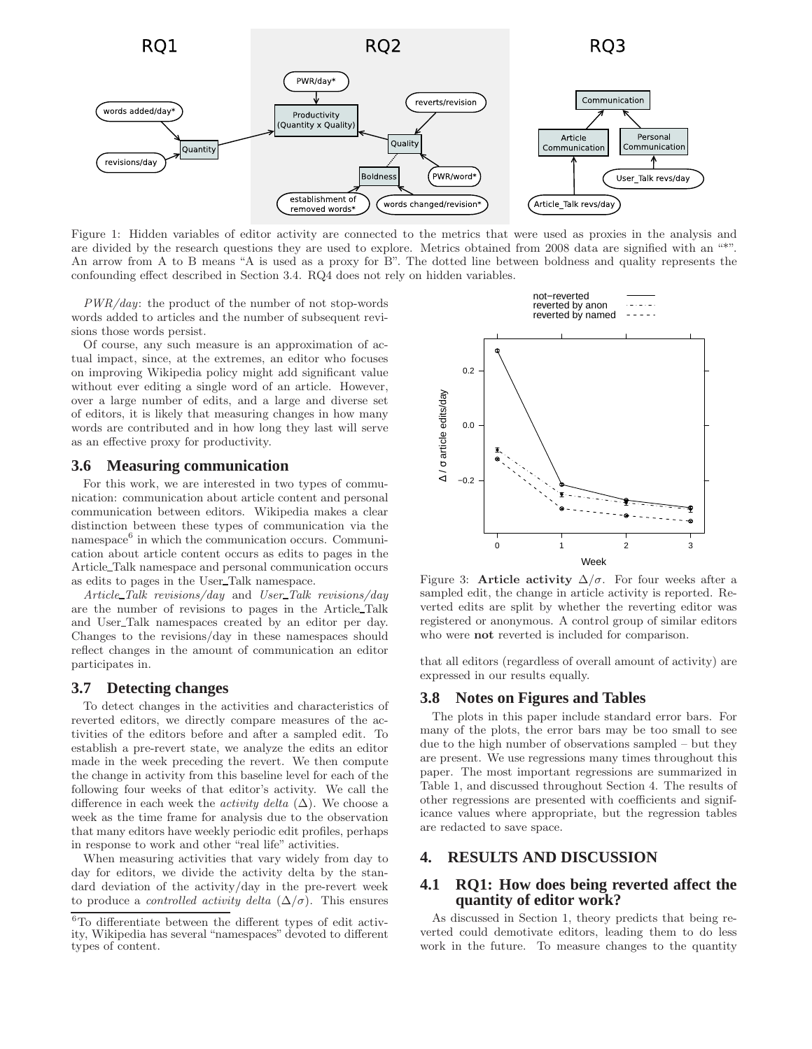

Figure 1: Hidden variables of editor activity are connected to the metrics that were used as proxies in the analysis and are divided by the research questions they are used to explore. Metrics obtained from 2008 data are signified with an "\*". An arrow from A to B means "A is used as a proxy for B". The dotted line between boldness and quality represents the confounding effect described in Section 3.4. RQ4 does not rely on hidden variables.

PWR/day: the product of the number of not stop-words words added to articles and the number of subsequent revisions those words persist.

Of course, any such measure is an approximation of actual impact, since, at the extremes, an editor who focuses on improving Wikipedia policy might add significant value without ever editing a single word of an article. However, over a large number of edits, and a large and diverse set of editors, it is likely that measuring changes in how many words are contributed and in how long they last will serve as an effective proxy for productivity.

#### **3.6 Measuring communication**

For this work, we are interested in two types of communication: communication about article content and personal communication between editors. Wikipedia makes a clear distinction between these types of communication via the namespace<sup>6</sup> in which the communication occurs. Communication about article content occurs as edits to pages in the Article Talk namespace and personal communication occurs as edits to pages in the User Talk namespace.

Article Talk revisions/day and User Talk revisions/day are the number of revisions to pages in the Article Talk and User Talk namespaces created by an editor per day. Changes to the revisions/day in these namespaces should reflect changes in the amount of communication an editor participates in.

## **3.7 Detecting changes**

To detect changes in the activities and characteristics of reverted editors, we directly compare measures of the activities of the editors before and after a sampled edit. To establish a pre-revert state, we analyze the edits an editor made in the week preceding the revert. We then compute the change in activity from this baseline level for each of the following four weeks of that editor's activity. We call the difference in each week the *activity delta*  $(\Delta)$ . We choose a week as the time frame for analysis due to the observation that many editors have weekly periodic edit profiles, perhaps in response to work and other "real life" activities.

When measuring activities that vary widely from day to day for editors, we divide the activity delta by the standard deviation of the activity/day in the pre-revert week to produce a *controlled activity delta* ( $\Delta/\sigma$ ). This ensures



Figure 3: Article activity  $\Delta/\sigma$ . For four weeks after a sampled edit, the change in article activity is reported. Reverted edits are split by whether the reverting editor was registered or anonymous. A control group of similar editors who were not reverted is included for comparison.

that all editors (regardless of overall amount of activity) are expressed in our results equally.

#### **3.8 Notes on Figures and Tables**

The plots in this paper include standard error bars. For many of the plots, the error bars may be too small to see due to the high number of observations sampled – but they are present. We use regressions many times throughout this paper. The most important regressions are summarized in Table 1, and discussed throughout Section 4. The results of other regressions are presented with coefficients and significance values where appropriate, but the regression tables are redacted to save space.

## **4. RESULTS AND DISCUSSION**

## **4.1 RQ1: How does being reverted affect the quantity of editor work?**

As discussed in Section 1, theory predicts that being reverted could demotivate editors, leading them to do less work in the future. To measure changes to the quantity

 ${}^{6}$ To differentiate between the different types of edit activity, Wikipedia has several "namespaces" devoted to different types of content.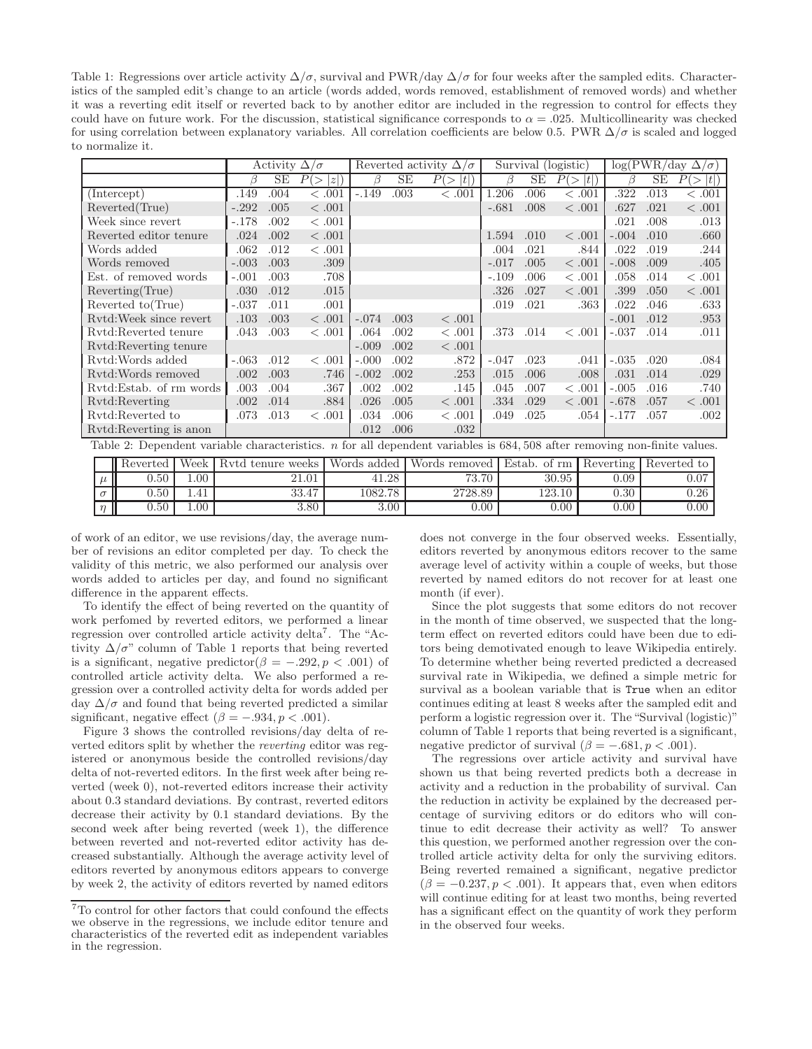Table 1: Regressions over article activity  $\Delta/\sigma$ , survival and PWR/day  $\Delta/\sigma$  for four weeks after the sampled edits. Characteristics of the sampled edit's change to an article (words added, words removed, establishment of removed words) and whether it was a reverting edit itself or reverted back to by another editor are included in the regression to control for effects they could have on future work. For the discussion, statistical significance corresponds to  $\alpha = .025$ . Multicollinearity was checked for using correlation between explanatory variables. All correlation coefficients are below 0.5. PWR  $\Delta/\sigma$  is scaled and logged to normalize it.

|                                                                                                                                  | Activity $\Delta/\sigma$ |      | Reverted activity $\Delta/\sigma$                           |         |      | Survival<br>(logistic)     |         |      | $\log(PWR/\text{day})$<br>$\Delta/\sigma$ |         |      |           |
|----------------------------------------------------------------------------------------------------------------------------------|--------------------------|------|-------------------------------------------------------------|---------|------|----------------------------|---------|------|-------------------------------------------|---------|------|-----------|
|                                                                                                                                  | ß                        | SЕ   | $\boldsymbol{P}$<br>$\left\vert z\right\vert$<br>$\epsilon$ | B       | SЕ   | $_{P(}$<br> t <br>$\rm{>}$ | B       | SЕ   | Р<br> t <br>$\epsilon$                    |         | SЕ   | P(><br> t |
| (Intercept)                                                                                                                      | .149                     | .004 | < .001                                                      | $-.149$ | .003 | < .001                     | 1.206   | .006 | <.001                                     | .322    | .013 | < .001    |
| Reverted(True)                                                                                                                   | $-.292$                  | .005 | < .001                                                      |         |      |                            | $-.681$ | .008 | < .001                                    | .627    | .021 | <.001     |
| Week since revert                                                                                                                | $-.178$                  | .002 | < .001                                                      |         |      |                            |         |      |                                           | .021    | .008 | .013      |
| Reverted editor tenure                                                                                                           | .024                     | .002 | < .001                                                      |         |      |                            | 1.594   | .010 | < .001                                    | $-.004$ | .010 | .660      |
| Words added                                                                                                                      | .062                     | .012 | < .001                                                      |         |      |                            | .004    | .021 | .844                                      | .022    | .019 | .244      |
| Words removed                                                                                                                    | $-.003$                  | .003 | .309                                                        |         |      |                            | $-.017$ | .005 | < .001                                    | $-.008$ | .009 | .405      |
| Est. of removed words                                                                                                            | $-.001$                  | .003 | .708                                                        |         |      |                            | $-.109$ | .006 | <.001                                     | .058    | .014 | < .001    |
| Reverting(True)                                                                                                                  | .030                     | .012 | .015                                                        |         |      |                            | .326    | .027 | <.001                                     | .399    | .050 | < .001    |
| Reverted to (True)                                                                                                               | $-.037$                  | .011 | .001                                                        |         |      |                            | .019    | .021 | .363                                      | .022    | .046 | .633      |
| Rytd:Week since revert                                                                                                           | .103                     | .003 | < .001                                                      | $-.074$ | .003 | < .001                     |         |      |                                           | $-.001$ | .012 | .953      |
| Rvtd:Reverted tenure                                                                                                             | .043                     | .003 | < .001                                                      | .064    | .002 | < .001                     | .373    | .014 | < .001                                    | $-.037$ | .014 | .011      |
| Rytd:Reverting tenure                                                                                                            |                          |      |                                                             | $-.009$ | .002 | < .001                     |         |      |                                           |         |      |           |
| Rytd:Words added                                                                                                                 | $-.063$                  | .012 | < .001                                                      | $-.000$ | .002 | .872                       | $-.047$ | .023 | .041                                      | $-.035$ | .020 | .084      |
| Rytd:Words removed                                                                                                               | .002                     | .003 | .746                                                        | $-.002$ | .002 | .253                       | .015    | .006 | .008                                      | .031    | .014 | .029      |
| Rytd:Estab. of rm words                                                                                                          | .003                     | .004 | .367                                                        | .002    | .002 | .145                       | .045    | .007 | < .001                                    | $-.005$ | .016 | .740      |
| Rytd:Reverting                                                                                                                   | .002                     | .014 | .884                                                        | .026    | .005 | < .001                     | .334    | .029 | < .001                                    | $-.678$ | .057 | < .001    |
| Rytd:Reverted to                                                                                                                 | .073                     | .013 | <.001                                                       | .034    | .006 | < .001                     | .049    | .025 | .054                                      | $-.177$ | .057 | .002      |
| Rvtd:Reverting is anon                                                                                                           |                          |      |                                                             | .012    | .006 | .032                       |         |      |                                           |         |      |           |
| Table 2: Dependent variable characteristics. <i>n</i> for all dependent variables is $684,508$ after removing non-finite values. |                          |      |                                                             |         |      |                            |         |      |                                           |         |      |           |

|          | Reverted | Week, | Rytd tenure weeks Words added |         | Words removed | Estab. | of $rm$ Reverting | Reverted to |
|----------|----------|-------|-------------------------------|---------|---------------|--------|-------------------|-------------|
|          | 0.50     | 00.   | 21.01                         | 41.28   | 73.70         | 30.95  | 0.09              | 0.07        |
| $\sigma$ | 0.50     | 1.41  | 33.47                         | 1082.78 | 2728.89       | 123.10 | $0.30\,$          | $0.26\,$    |
|          | 0.50     | 1.00  | 3.80                          | 3.00    | 0.00          | 0.00   | 0.00              | 0.00        |

of work of an editor, we use revisions/day, the average number of revisions an editor completed per day. To check the validity of this metric, we also performed our analysis over words added to articles per day, and found no significant difference in the apparent effects.

To identify the effect of being reverted on the quantity of work perfomed by reverted editors, we performed a linear regression over controlled article activity delta<sup>7</sup>. The "Activity  $\Delta/\sigma$ " column of Table 1 reports that being reverted is a significant, negative predictor( $\beta = -.292, p < .001$ ) of controlled article activity delta. We also performed a regression over a controlled activity delta for words added per day  $\Delta/\sigma$  and found that being reverted predicted a similar significant, negative effect  $(\beta = -.934, p < .001)$ .

Figure 3 shows the controlled revisions/day delta of reverted editors split by whether the reverting editor was registered or anonymous beside the controlled revisions/day delta of not-reverted editors. In the first week after being reverted (week 0), not-reverted editors increase their activity about 0.3 standard deviations. By contrast, reverted editors decrease their activity by 0.1 standard deviations. By the second week after being reverted (week 1), the difference between reverted and not-reverted editor activity has decreased substantially. Although the average activity level of editors reverted by anonymous editors appears to converge by week 2, the activity of editors reverted by named editors does not converge in the four observed weeks. Essentially, editors reverted by anonymous editors recover to the same average level of activity within a couple of weeks, but those reverted by named editors do not recover for at least one month (if ever).

Since the plot suggests that some editors do not recover in the month of time observed, we suspected that the longterm effect on reverted editors could have been due to editors being demotivated enough to leave Wikipedia entirely. To determine whether being reverted predicted a decreased survival rate in Wikipedia, we defined a simple metric for survival as a boolean variable that is True when an editor continues editing at least 8 weeks after the sampled edit and perform a logistic regression over it. The "Survival (logistic)" column of Table 1 reports that being reverted is a significant, negative predictor of survival ( $\beta = -.681, p < .001$ ).

The regressions over article activity and survival have shown us that being reverted predicts both a decrease in activity and a reduction in the probability of survival. Can the reduction in activity be explained by the decreased percentage of surviving editors or do editors who will continue to edit decrease their activity as well? To answer this question, we performed another regression over the controlled article activity delta for only the surviving editors. Being reverted remained a significant, negative predictor  $(\beta = -0.237, p < .001)$ . It appears that, even when editors will continue editing for at least two months, being reverted has a significant effect on the quantity of work they perform in the observed four weeks.

 ${\rm ^7To}$  control for other factors that could confound the effects we observe in the regressions, we include editor tenure and characteristics of the reverted edit as independent variables in the regression.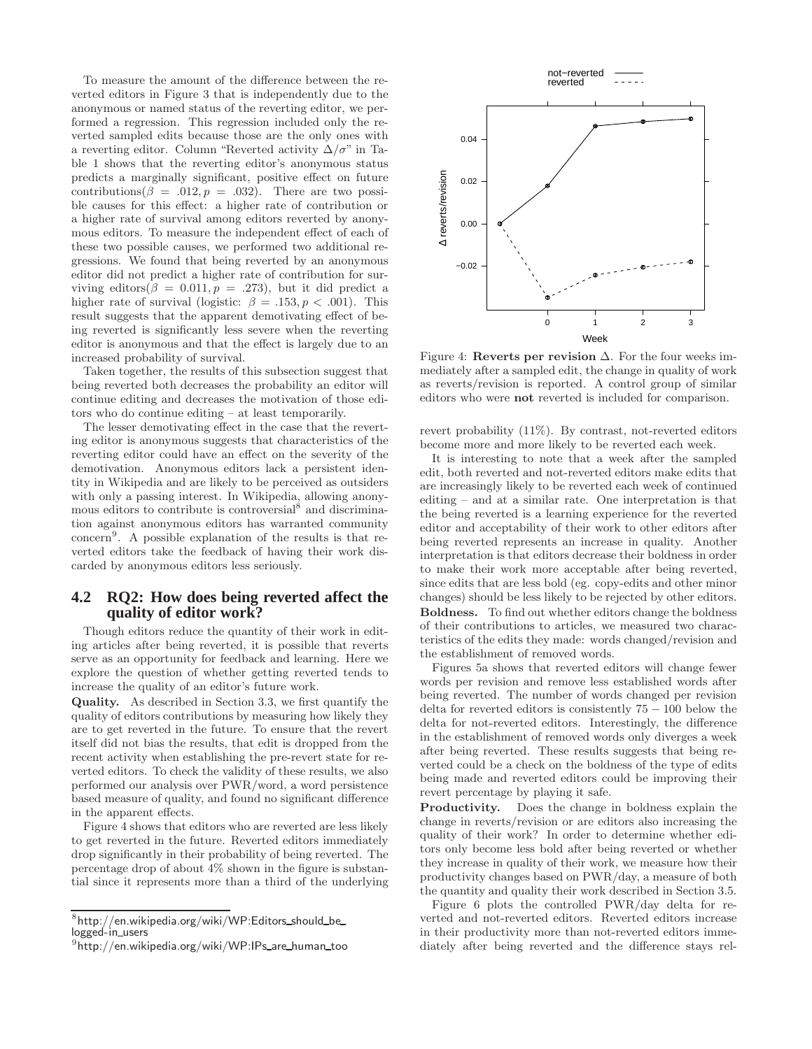To measure the amount of the difference between the reverted editors in Figure 3 that is independently due to the anonymous or named status of the reverting editor, we performed a regression. This regression included only the reverted sampled edits because those are the only ones with a reverting editor. Column "Reverted activity  $\Delta/\sigma$ " in Table 1 shows that the reverting editor's anonymous status predicts a marginally significant, positive effect on future contributions( $\beta = .012, p = .032$ ). There are two possible causes for this effect: a higher rate of contribution or a higher rate of survival among editors reverted by anonymous editors. To measure the independent effect of each of these two possible causes, we performed two additional regressions. We found that being reverted by an anonymous editor did not predict a higher rate of contribution for surviving editors( $\beta = 0.011, p = .273$ ), but it did predict a higher rate of survival (logistic:  $\beta = .153, p < .001$ ). This result suggests that the apparent demotivating effect of being reverted is significantly less severe when the reverting editor is anonymous and that the effect is largely due to an increased probability of survival.

Taken together, the results of this subsection suggest that being reverted both decreases the probability an editor will continue editing and decreases the motivation of those editors who do continue editing – at least temporarily.

The lesser demotivating effect in the case that the reverting editor is anonymous suggests that characteristics of the reverting editor could have an effect on the severity of the demotivation. Anonymous editors lack a persistent identity in Wikipedia and are likely to be perceived as outsiders with only a passing interest. In Wikipedia, allowing anonymous editors to contribute is controversial<sup>8</sup> and discrimination against anonymous editors has warranted community concern<sup>9</sup> . A possible explanation of the results is that reverted editors take the feedback of having their work discarded by anonymous editors less seriously.

## **4.2 RQ2: How does being reverted affect the quality of editor work?**

Though editors reduce the quantity of their work in editing articles after being reverted, it is possible that reverts serve as an opportunity for feedback and learning. Here we explore the question of whether getting reverted tends to increase the quality of an editor's future work.

Quality. As described in Section 3.3, we first quantify the quality of editors contributions by measuring how likely they are to get reverted in the future. To ensure that the revert itself did not bias the results, that edit is dropped from the recent activity when establishing the pre-revert state for reverted editors. To check the validity of these results, we also performed our analysis over PWR/word, a word persistence based measure of quality, and found no significant difference in the apparent effects.

Figure 4 shows that editors who are reverted are less likely to get reverted in the future. Reverted editors immediately drop significantly in their probability of being reverted. The percentage drop of about 4% shown in the figure is substantial since it represents more than a third of the underlying



Figure 4: Reverts per revision  $\Delta$ . For the four weeks immediately after a sampled edit, the change in quality of work as reverts/revision is reported. A control group of similar editors who were not reverted is included for comparison.

revert probability (11%). By contrast, not-reverted editors become more and more likely to be reverted each week.

It is interesting to note that a week after the sampled edit, both reverted and not-reverted editors make edits that are increasingly likely to be reverted each week of continued editing – and at a similar rate. One interpretation is that the being reverted is a learning experience for the reverted editor and acceptability of their work to other editors after being reverted represents an increase in quality. Another interpretation is that editors decrease their boldness in order to make their work more acceptable after being reverted, since edits that are less bold (eg. copy-edits and other minor changes) should be less likely to be rejected by other editors. Boldness. To find out whether editors change the boldness of their contributions to articles, we measured two characteristics of the edits they made: words changed/revision and the establishment of removed words.

Figures 5a shows that reverted editors will change fewer words per revision and remove less established words after being reverted. The number of words changed per revision delta for reverted editors is consistently  $75 - 100$  below the delta for not-reverted editors. Interestingly, the difference in the establishment of removed words only diverges a week after being reverted. These results suggests that being reverted could be a check on the boldness of the type of edits being made and reverted editors could be improving their revert percentage by playing it safe.

Productivity. Does the change in boldness explain the change in reverts/revision or are editors also increasing the quality of their work? In order to determine whether editors only become less bold after being reverted or whether they increase in quality of their work, we measure how their productivity changes based on PWR/day, a measure of both the quantity and quality their work described in Section 3.5.

Figure 6 plots the controlled PWR/day delta for reverted and not-reverted editors. Reverted editors increase in their productivity more than not-reverted editors immediately after being reverted and the difference stays rel-

 $8$ http://en.wikipedia.org/wiki/WP:Editors\_should\_be logged-in\_users

<sup>&</sup>lt;sup>9</sup>http://en.wikipedia.org/wiki/WP:IPs\_are\_human\_too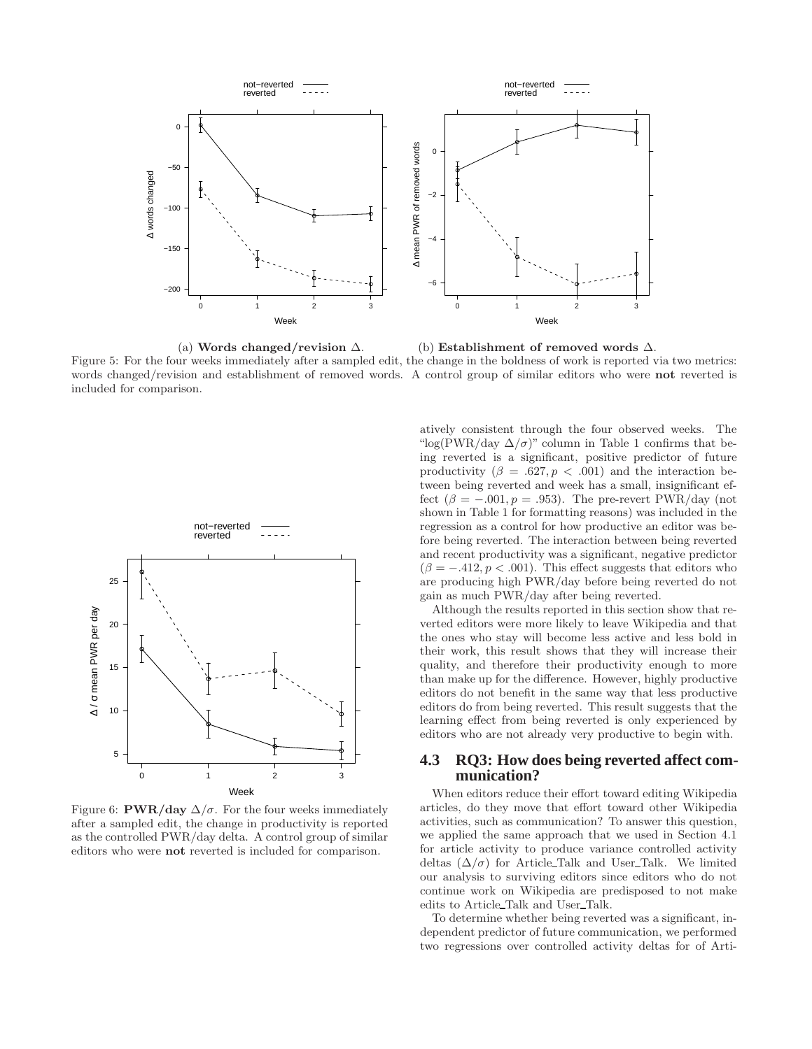

(a) Words changed/revision ∆.

(b) Establishment of removed words ∆.

Figure 5: For the four weeks immediately after a sampled edit, the change in the boldness of work is reported via two metrics: words changed/revision and establishment of removed words. A control group of similar editors who were **not** reverted is included for comparison.



Figure 6: PWR/day  $\Delta/\sigma$ . For the four weeks immediately after a sampled edit, the change in productivity is reported as the controlled PWR/day delta. A control group of similar editors who were not reverted is included for comparison.

atively consistent through the four observed weeks. The "log(PWR/day  $\Delta/\sigma$ )" column in Table 1 confirms that being reverted is a significant, positive predictor of future productivity ( $\beta = .627, p < .001$ ) and the interaction between being reverted and week has a small, insignificant effect  $(\beta = -.001, p = .953)$ . The pre-revert PWR/day (not shown in Table 1 for formatting reasons) was included in the regression as a control for how productive an editor was before being reverted. The interaction between being reverted and recent productivity was a significant, negative predictor  $(\beta = -.412, p < .001)$ . This effect suggests that editors who are producing high PWR/day before being reverted do not gain as much PWR/day after being reverted.

Although the results reported in this section show that reverted editors were more likely to leave Wikipedia and that the ones who stay will become less active and less bold in their work, this result shows that they will increase their quality, and therefore their productivity enough to more than make up for the difference. However, highly productive editors do not benefit in the same way that less productive editors do from being reverted. This result suggests that the learning effect from being reverted is only experienced by editors who are not already very productive to begin with.

## **4.3 RQ3: How does being reverted affect communication?**

When editors reduce their effort toward editing Wikipedia articles, do they move that effort toward other Wikipedia activities, such as communication? To answer this question, we applied the same approach that we used in Section 4.1 for article activity to produce variance controlled activity deltas  $(\Delta/\sigma)$  for Article Talk and User Talk. We limited our analysis to surviving editors since editors who do not continue work on Wikipedia are predisposed to not make edits to Article Talk and User Talk.

To determine whether being reverted was a significant, independent predictor of future communication, we performed two regressions over controlled activity deltas for of Arti-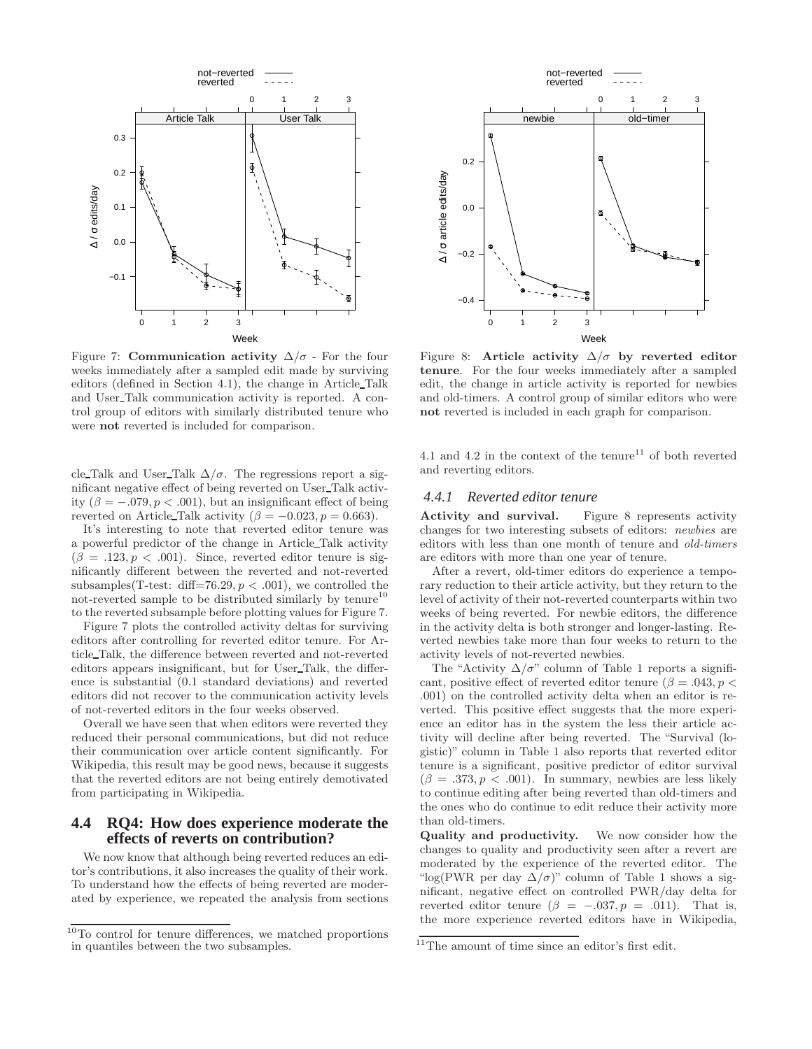

Figure 7: **Communication activity**  $\Delta/\sigma$  - For the four weeks immediately after a sampled edit made by surviving editors (defined in Section 4.1), the change in Article Talk and User\_Talk communication activity is reported. A control group of editors with similarly distributed tenure who were not reverted is included for comparison.

cle Talk and User Talk  $\Delta/\sigma$ . The regressions report a significant negative effect of being reverted on User Talk activity ( $\beta = -.079, p < .001$ ), but an insignificant effect of being reverted on Article\_Talk activity ( $\beta = -0.023, p = 0.663$ ).

It's interesting to note that reverted editor tenure was a powerful predictor of the change in Article Talk activity  $(\beta = .123, p < .001)$ . Since, reverted editor tenure is significantly different between the reverted and not-reverted subsamples(T-test: diff=76.29,  $p < .001$ ), we controlled the not-reverted sample to be distributed similarly by tenure<sup>10</sup> to the reverted subsample before plotting values for Figure 7.

Figure 7 plots the controlled activity deltas for surviving editors after controlling for reverted editor tenure. For Article Talk, the difference between reverted and not-reverted editors appears insignificant, but for User Talk, the difference is substantial (0.1 standard deviations) and reverted editors did not recover to the communication activity levels of not-reverted editors in the four weeks observed.

Overall we have seen that when editors were reverted they reduced their personal communications, but did not reduce their communication over article content significantly. For Wikipedia, this result may be good news, because it suggests that the reverted editors are not being entirely demotivated from participating in Wikipedia.

## **4.4 RQ4: How does experience moderate the effects of reverts on contribution?**

We now know that although being reverted reduces an editor's contributions, it also increases the quality of their work. To understand how the effects of being reverted are moderated by experience, we repeated the analysis from sections



Figure 8: Article activity  $\Delta/\sigma$  by reverted editor tenure. For the four weeks immediately after a sampled edit, the change in article activity is reported for newbies and old-timers. A control group of similar editors who were not reverted is included in each graph for comparison.

4.1 and 4.2 in the context of the tenure<sup>11</sup> of both reverted and reverting editors.

## *4.4.1 Reverted editor tenure*

Activity and survival. Figure 8 represents activity changes for two interesting subsets of editors: newbies are editors with less than one month of tenure and old-timers are editors with more than one year of tenure.

After a revert, old-timer editors do experience a temporary reduction to their article activity, but they return to the level of activity of their not-reverted counterparts within two weeks of being reverted. For newbie editors, the difference in the activity delta is both stronger and longer-lasting. Reverted newbies take more than four weeks to return to the activity levels of not-reverted newbies.

The "Activity  $\Delta/\sigma$ " column of Table 1 reports a significant, positive effect of reverted editor tenure ( $\beta = .043, p <$ .001) on the controlled activity delta when an editor is reverted. This positive effect suggests that the more experience an editor has in the system the less their article activity will decline after being reverted. The "Survival (logistic)" column in Table 1 also reports that reverted editor tenure is a significant, positive predictor of editor survival  $(\beta = .373, p < .001)$ . In summary, newbies are less likely to continue editing after being reverted than old-timers and the ones who do continue to edit reduce their activity more than old-timers.

Quality and productivity. We now consider how the changes to quality and productivity seen after a revert are moderated by the experience of the reverted editor. The "log(PWR per day  $\Delta/\sigma$ )" column of Table 1 shows a significant, negative effect on controlled PWR/day delta for reverted editor tenure  $(\beta = -.037, p = .011)$ . That is, the more experience reverted editors have in Wikipedia,

<sup>&</sup>lt;sup>10</sup>To control for tenure differences, we matched proportions in quantiles between the two subsamples.

 $11$ The amount of time since an editor's first edit.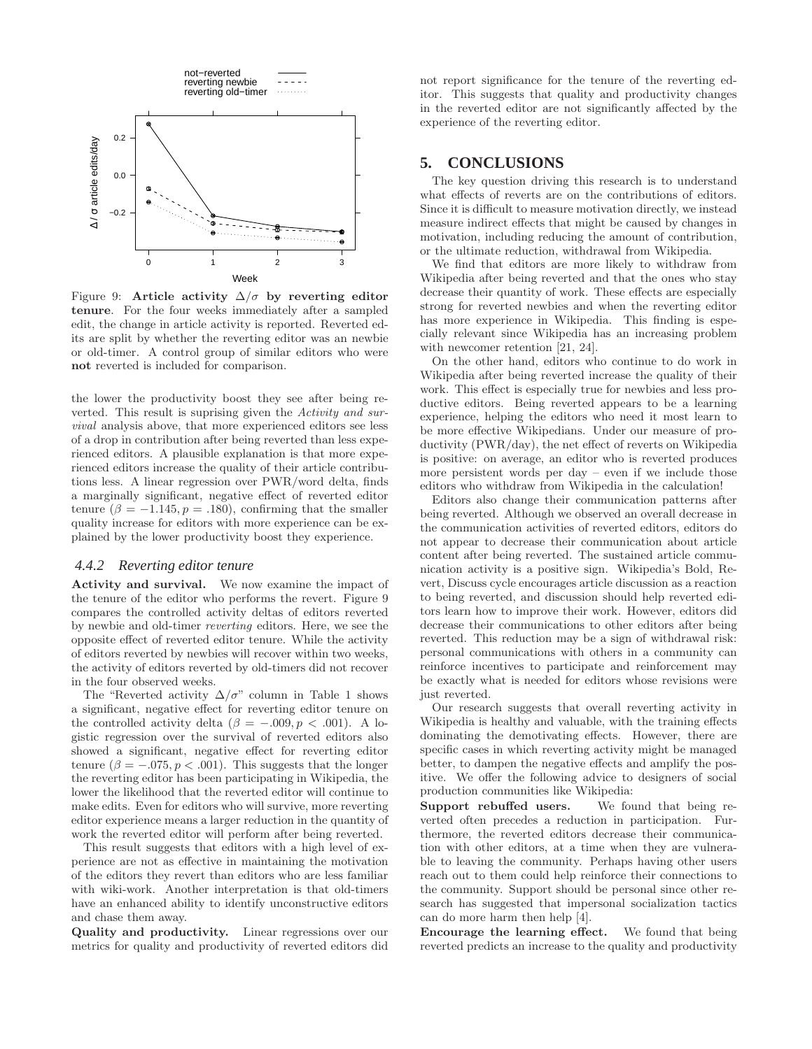

Figure 9: Article activity  $\Delta/\sigma$  by reverting editor tenure. For the four weeks immediately after a sampled edit, the change in article activity is reported. Reverted edits are split by whether the reverting editor was an newbie or old-timer. A control group of similar editors who were not reverted is included for comparison.

the lower the productivity boost they see after being reverted. This result is suprising given the Activity and survival analysis above, that more experienced editors see less of a drop in contribution after being reverted than less experienced editors. A plausible explanation is that more experienced editors increase the quality of their article contributions less. A linear regression over PWR/word delta, finds a marginally significant, negative effect of reverted editor tenure ( $\beta = -1.145$ ,  $p = .180$ ), confirming that the smaller quality increase for editors with more experience can be explained by the lower productivity boost they experience.

#### *4.4.2 Reverting editor tenure*

Activity and survival. We now examine the impact of the tenure of the editor who performs the revert. Figure 9 compares the controlled activity deltas of editors reverted by newbie and old-timer reverting editors. Here, we see the opposite effect of reverted editor tenure. While the activity of editors reverted by newbies will recover within two weeks, the activity of editors reverted by old-timers did not recover in the four observed weeks.

The "Reverted activity  $\Delta/\sigma$ " column in Table 1 shows a significant, negative effect for reverting editor tenure on the controlled activity delta ( $\beta = -.009, p < .001$ ). A logistic regression over the survival of reverted editors also showed a significant, negative effect for reverting editor tenure ( $\beta = -.075, p < .001$ ). This suggests that the longer the reverting editor has been participating in Wikipedia, the lower the likelihood that the reverted editor will continue to make edits. Even for editors who will survive, more reverting editor experience means a larger reduction in the quantity of work the reverted editor will perform after being reverted.

This result suggests that editors with a high level of experience are not as effective in maintaining the motivation of the editors they revert than editors who are less familiar with wiki-work. Another interpretation is that old-timers have an enhanced ability to identify unconstructive editors and chase them away.

Quality and productivity. Linear regressions over our metrics for quality and productivity of reverted editors did not report significance for the tenure of the reverting editor. This suggests that quality and productivity changes in the reverted editor are not significantly affected by the experience of the reverting editor.

# **5. CONCLUSIONS**

The key question driving this research is to understand what effects of reverts are on the contributions of editors. Since it is difficult to measure motivation directly, we instead measure indirect effects that might be caused by changes in motivation, including reducing the amount of contribution, or the ultimate reduction, withdrawal from Wikipedia.

We find that editors are more likely to withdraw from Wikipedia after being reverted and that the ones who stay decrease their quantity of work. These effects are especially strong for reverted newbies and when the reverting editor has more experience in Wikipedia. This finding is especially relevant since Wikipedia has an increasing problem with newcomer retention [21, 24].

On the other hand, editors who continue to do work in Wikipedia after being reverted increase the quality of their work. This effect is especially true for newbies and less productive editors. Being reverted appears to be a learning experience, helping the editors who need it most learn to be more effective Wikipedians. Under our measure of productivity (PWR/day), the net effect of reverts on Wikipedia is positive: on average, an editor who is reverted produces more persistent words per day – even if we include those editors who withdraw from Wikipedia in the calculation!

Editors also change their communication patterns after being reverted. Although we observed an overall decrease in the communication activities of reverted editors, editors do not appear to decrease their communication about article content after being reverted. The sustained article communication activity is a positive sign. Wikipedia's Bold, Revert, Discuss cycle encourages article discussion as a reaction to being reverted, and discussion should help reverted editors learn how to improve their work. However, editors did decrease their communications to other editors after being reverted. This reduction may be a sign of withdrawal risk: personal communications with others in a community can reinforce incentives to participate and reinforcement may be exactly what is needed for editors whose revisions were just reverted.

Our research suggests that overall reverting activity in Wikipedia is healthy and valuable, with the training effects dominating the demotivating effects. However, there are specific cases in which reverting activity might be managed better, to dampen the negative effects and amplify the positive. We offer the following advice to designers of social production communities like Wikipedia:

Support rebuffed users. We found that being reverted often precedes a reduction in participation. Furthermore, the reverted editors decrease their communication with other editors, at a time when they are vulnerable to leaving the community. Perhaps having other users reach out to them could help reinforce their connections to the community. Support should be personal since other research has suggested that impersonal socialization tactics can do more harm then help [4].

Encourage the learning effect. We found that being reverted predicts an increase to the quality and productivity